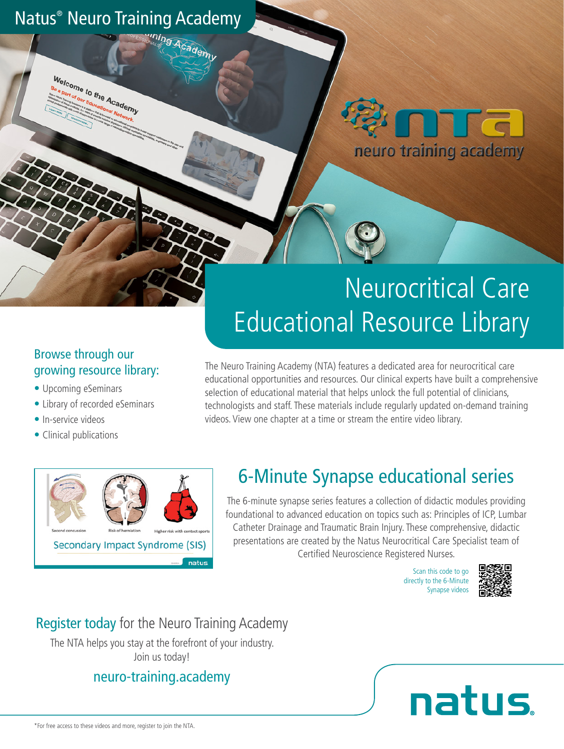## Natus® Neuro Training Academy

**Welcome to the Academy** 



## Neurocritical Care Educational Resource Library

#### Browse through our growing resource library:

- Upcoming eSeminars
- Library of recorded eSeminars
- In-service videos
- Clinical publications

The Neuro Training Academy (NTA) features a dedicated area for neurocritical care educational opportunities and resources. Our clinical experts have built a comprehensive selection of educational material that helps unlock the full potential of clinicians, technologists and staff. These materials include regularly updated on-demand training videos. View one chapter at a time or stream the entire video library.



## 6-Minute Synapse educational series

The 6-minute synapse series features a collection of didactic modules providing foundational to advanced education on topics such as: Principles of ICP, Lumbar Catheter Drainage and Traumatic Brain Injury. These comprehensive, didactic presentations are created by the Natus Neurocritical Care Specialist team of Certified Neuroscience Registered Nurses.

> Scan this code to go directly to the 6-Minute Synapse videos



## Register today for the Neuro Training Academy

The NTA helps you stay at the forefront of your industry. Join us today!

### neuro-training.academy